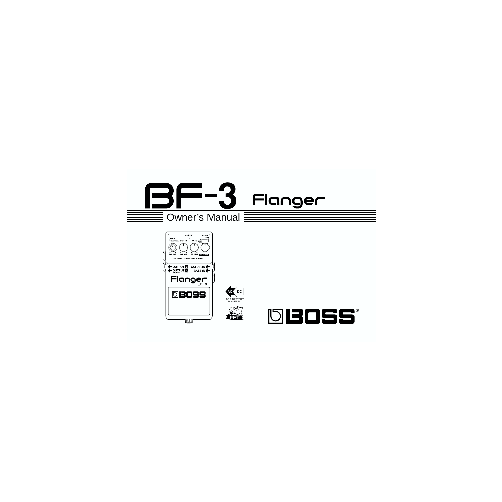







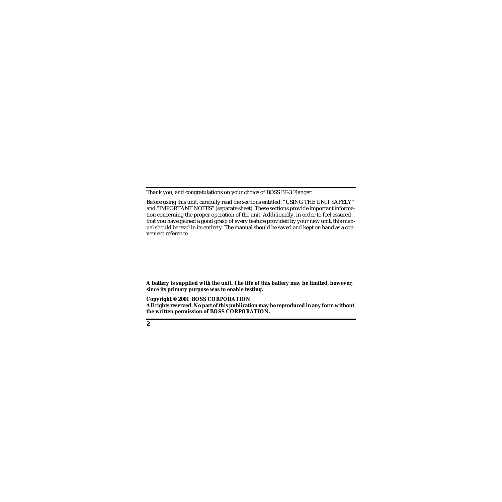Thank you, and congratulations on your choice of BOSS BF-3 Flanger.

Before using this unit, carefully read the sections entitled: "USING THE UNIT SAFELY" and "IMPORTANT NOTES" (separate sheet). These sections provide important information concerning the proper operation of the unit. Additionally, in order to feel assured that you have gained a good grasp of every feature provided by your new unit, this manual should be read in its entirety. The manual should be saved and kept on hand as a convenient reference.

**A battery is supplied with the unit. The life of this battery may be limited, however, since its primary purpose was to enable testing.**

**Copyright © 2001 BOSS CORPORATION**

**All rights reserved. No part of this publication may be reproduced in any form without the written permission of BOSS CORPORATION.**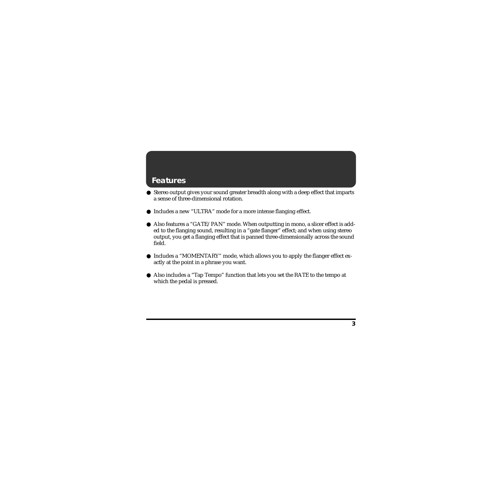## **Features**

- Stereo output gives your sound greater breadth along with a deep effect that imparts a sense of three-dimensional rotation.
- Includes a new "ULTRA" mode for a more intense flanging effect.
- Also features a "GATE/PAN" mode. When outputting in mono, a slicer effect is added to the flanging sound, resulting in a "gate flanger" effect; and when using stereo output, you get a flanging effect that is panned three-dimensionally across the sound field.
- Includes a "MOMENTARY" mode, which allows you to apply the flanger effect exactly at the point in a phrase you want.
- Also includes a "Tap Tempo" function that lets you set the RATE to the tempo at which the pedal is pressed.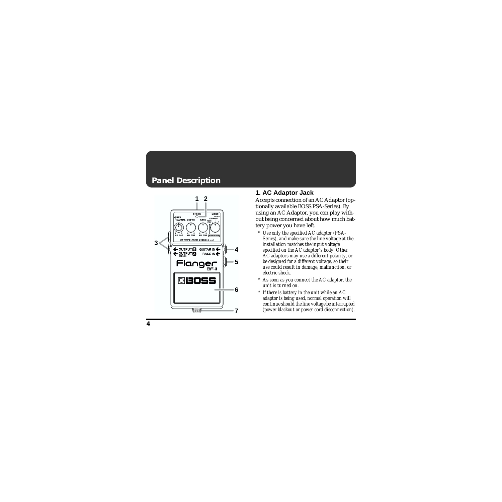## **Panel Description**



### fig.01 **1. AC Adaptor Jack**

Accepts connection of an AC Adaptor (optionally available BOSS PSA-Series). By using an AC Adaptor, you can play without being concerned about how much battery power you have left.

- *\* Use only the specified AC adaptor (PSA-Series), and make sure the line voltage at the installation matches the input voltage specified on the AC adaptor's body. Other AC adaptors may use a different polarity, or be designed for a different voltage, so their use could result in damage, malfunction, or electric shock.*
- *\* As soon as you connect the AC adaptor, the unit is turned on.*
- *\* If there is battery in the unit while an AC adaptor is being used, normal operation will continue should the line voltage be interrupted (power blackout or power cord disconnection).*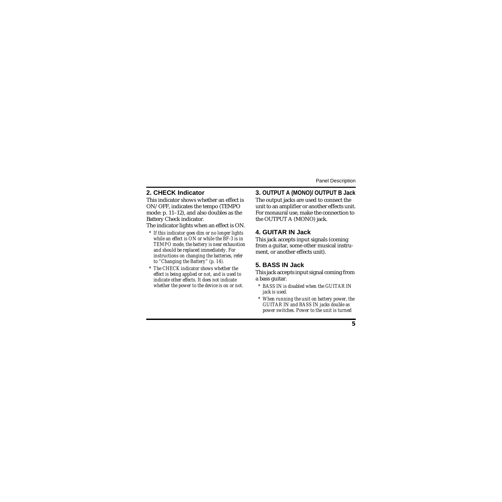### **2. CHECK Indicator**

This indicator shows whether an effect is ON/OFF, indicates the tempo (TEMPO mode: p. [11](#page-10-0)–[12](#page-11-0)), and also doubles as the Battery Check indicator.

The indicator lights when an effect is ON.

- *\* If this indicator goes dim or no longer lights while an effect is ON or while the BF-3 is in TEMPO mode, the battery is near exhaustion and should be replaced immediately. For instructions on changing the batteries, refer to "Changing the Battery" (p. [14\)](#page-13-0).*
- *\* The CHECK indicator shows whether the effect is being applied or not, and is used to indicate other effects. It does not indicate whether the power to the device is on or not.*

#### **3. OUTPUT A (MONO)/ OUTPUT B Jack**

The output jacks are used to connect the unit to an amplifier or another effects unit. For monaural use, make the connection to the OUTPUT A (MONO) jack.

### **4. GUITAR IN Jack**

This jack accepts input signals (coming from a guitar, some other musical instrument, or another effects unit).

### **5. BASS IN Jack**

This jack accepts input signal coming from a bass guitar.

- *\* BASS IN is disabled when the GUITAR IN jack is used.*
- *\* When running the unit on battery power, the GUITAR IN and BASS IN jacks double as power switches. Power to the unit is turned*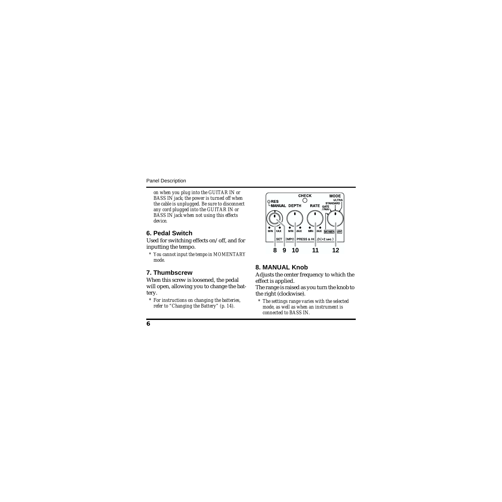*on when you plug into the GUITAR IN or BASS IN jack; the power is turned off when the cable is unplugged. Be sure to disconnect any cord plugged into the GUITAR IN or BASS IN jack when not using this effects device.*

### **6. Pedal Switch**

Used for switching effects on/off, and for inputting the tempo.

*\* You cannot input the tempo in MOMENTARY mode.*

### **7. Thumbscrew**

When this screw is loosened, the pedal will open, allowing you to change the battery.

*\* For instructions on changing the batteries, refer to "Changing the Battery" (p. [14\)](#page-13-0).*



### **8. MANUAL Knob**

Adjusts the center frequency to which the effect is applied.

The range is raised as you turn the knob to the right (clockwise).

*\* The settings range varies with the selected mode, as well as when an instrument is connected to BASS IN.*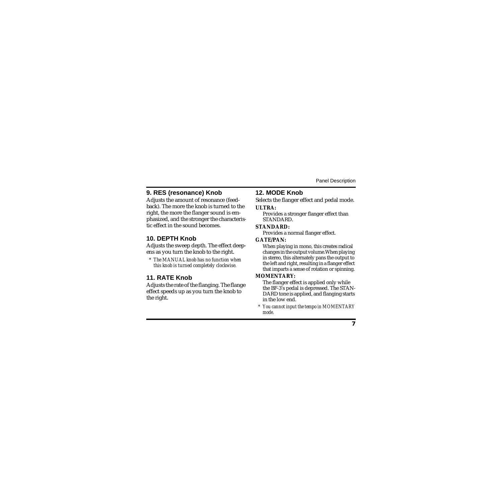### **9. RES (resonance) Knob**

Adjusts the amount of resonance (feedback). The more the knob is turned to the right, the more the flanger sound is emphasized, and the stronger the characteristic effect in the sound becomes.

### **10. DEPTH Knob**

Adjusts the sweep depth. The effect deepens as you turn the knob to the right.

*\* The MANUAL knob has no function when this knob is turned completely clockwise.*

### **11. RATE Knob**

Adjusts the rate of the flanging. The flange effect speeds up as you turn the knob to the right.

## **12. MODE Knob**

Selects the flanger effect and pedal mode.

#### **ULTRA:**

Provides a stronger flanger effect than **STANDARD.** 

#### **STANDARD:**

Provides a normal flanger effect.

#### **GATE/PAN:**

When playing in mono, this creates radical changes in the output volume.When playing in stereo, this alternately pans the output to the left and right, resulting in a flanger effect that imparts a sense of rotation or spinning.

#### **MOMENTARY:**

The flanger effect is applied only while the BF-3's pedal is depressed. The STAN-DARD tone is applied, and flanging starts in the low end.

*\* You cannot input the tempo in MOMENTARY mode.*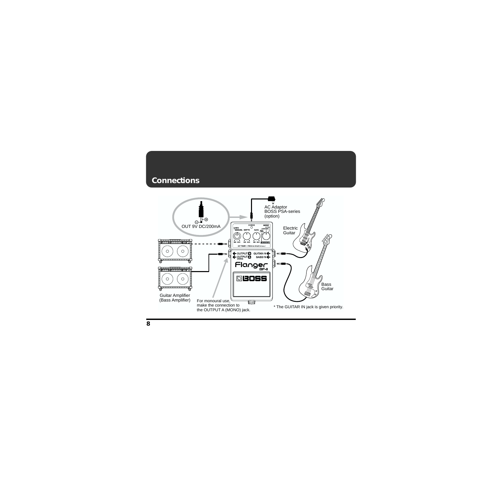### <span id="page-7-0"></span>**Connections**

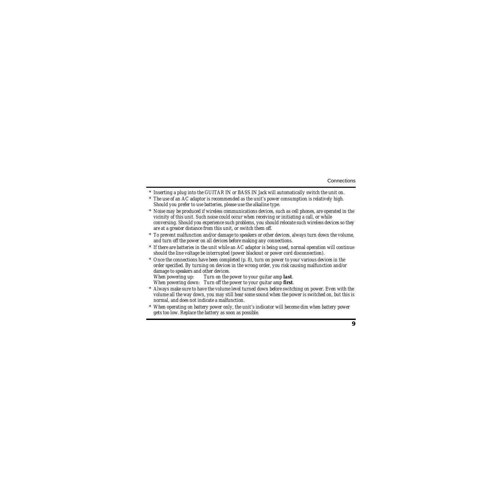- *\* Inserting a plug into the GUITAR IN or BASS IN Jack will automatically switch the unit on.*
- *\* The use of an AC adaptor is recommended as the unit's power consumption is relatively high. Should you prefer to use batteries, please use the alkaline type.*
- *\* Noise may be produced if wireless communications devices, such as cell phones, are operated in the vicinity of this unit. Such noise could occur when receiving or initiating a call, or while conversing. Should you experience such problems, you should relocate such wireless devices so they are at a greater distance from this unit, or switch them off.*
- *\* To prevent malfunction and/or damage to speakers or other devices, always turn down the volume, and turn off the power on all devices before making any connections.*
- *\* If there are batteries in the unit while an AC adaptor is being used, normal operation will continue should the line voltage be interrupted (power blackout or power cord disconnection).*
- *\* Once the connections have been completed (p. [8\)](#page-7-0), turn on power to your various devices in the order specified. By turning on devices in the wrong order, you risk causing malfunction and/or damage to speakers and other devices.*

*Turn on the power to your guitar amp last.* 

*When powering down: Turn off the power to your guitar amp first.*

- *\* Always make sure to have the volume level turned down before switching on power. Even with the volume all the way down, you may still hear some sound when the power is switched on, but this is normal, and does not indicate a malfunction.*
- *\* When operating on battery power only, the unit's indicator will become dim when battery power gets too low. Replace the battery as soon as possible.*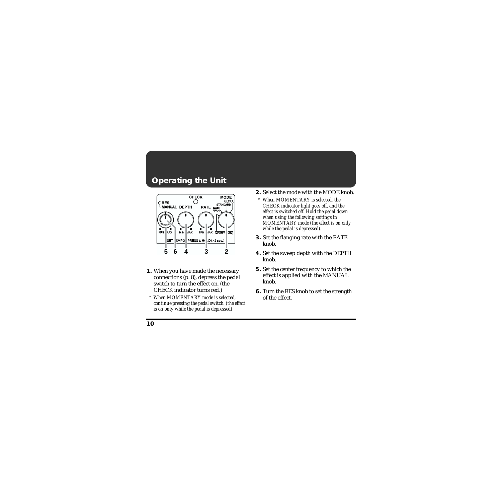# **Operating the Unit**



- **1.** When you have made the necessary connections (p. [8](#page-7-0)), depress the pedal switch to turn the effect on. (the CHECK indicator turns red.)
	- *\* When MOMENTARY mode is selected, continue pressing the pedal switch. (the effect is on only while the pedal is depressed)*
- **2.** Select the mode with the MODE knob.
	- *\* When MOMENTARY is selected, the CHECK indicator light goes off, and the effect is switched off. Hold the pedal down when using the following settings in MOMENTARY mode (the effect is on only while the pedal is depressed).*
- **3.** Set the flanging rate with the RATE knob.
- **4.** Set the sweep depth with the DEPTH knob.
- **5.** Set the center frequency to which the effect is applied with the MANUAL knob.
- **6.** Turn the RES knob to set the strength of the effect.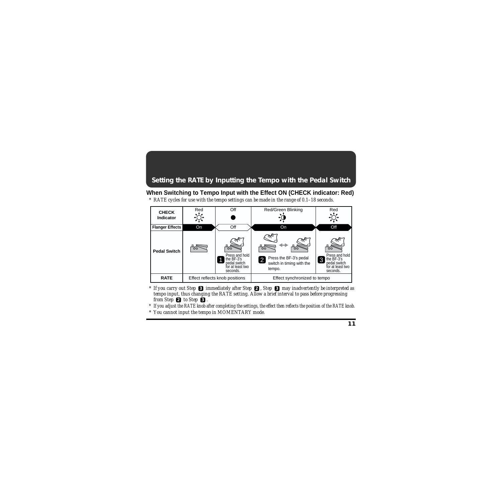## <span id="page-10-0"></span>**Setting the RATE by Inputting the Tempo with the Pedal Switch**

### **When Switching to Tempo Input with the Effect ON (CHECK indicator: Red)**

*\* RATE cycles for use with the tempo settings can be made in the range of 0.1–18 seconds.*



- **3** *If you carry out Step immediately after Step <b>2 , Step 8 may inadvertently be interpreted as tempo input, thus changing the RATE setting. Allow a brief interval to pass before progressing from Step*  $\bullet$  *to Step*  $\bullet$  *a*
- *\* If you adjust the RATE knob after completing the settings, the effect then reflects the position of the RATE knob.*
- *\* You cannot input the tempo in MOMENTARY mode.*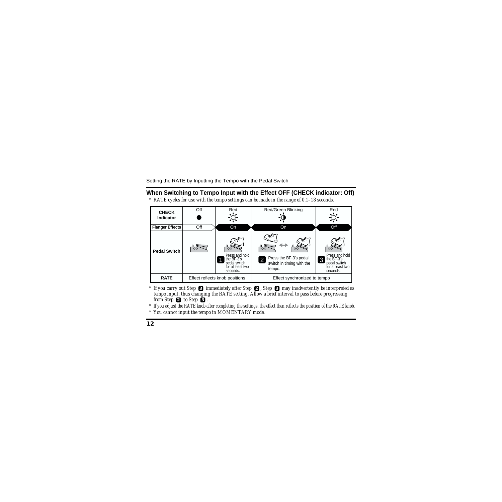#### <span id="page-11-0"></span>**When Switching to Tempo Input with the Effect OFF (CHECK indicator: Off)**

*\* RATE cycles for use with the tempo settings can be made in the range of 0.1–18 seconds.*



- **3** *If you carry out Step immediately after Step <b>2 , Step 8 may inadvertently be interpreted as tempo input, thus changing the RATE setting. Allow a brief interval to pass before progressing from Step*  $\bullet$  *to Step*  $\bullet$  *a*
- *\* If you adjust the RATE knob after completing the settings, the effect then reflects the position of the RATE knob.*
- *\* You cannot input the tempo in MOMENTARY mode.*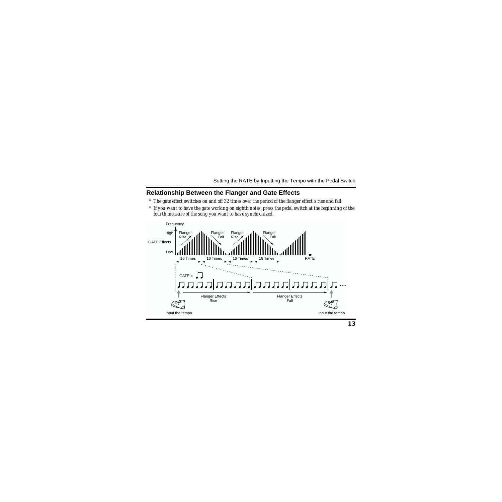#### <span id="page-12-0"></span>**Relationship Between the Flanger and Gate Effects**

- *\* The gate effect switches on and off 32 times over the period of the flanger effect's rise and fall.*
- *\* If you want to have the gate working on eighth notes, press the pedal switch at the beginning of the fourth measure of the song you want to have synchronized.*

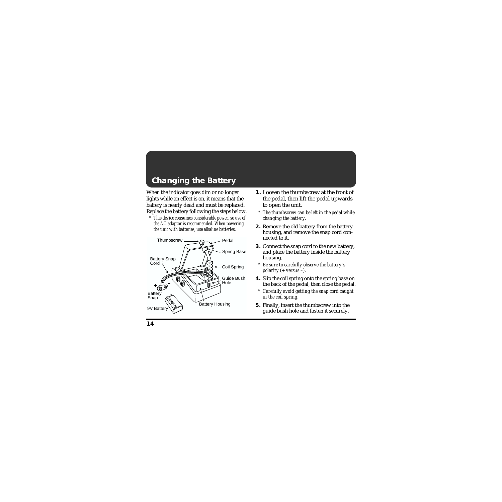# <span id="page-13-1"></span><span id="page-13-0"></span>**Changing the Battery**

When the indicator goes dim or no longer lights while an effect is on, it means that the battery is nearly dead and must be replaced. Replace the battery following the steps below.

*\* This device consumes considerable power, so use of the AC adaptor is recommended. When powering the unit with batteries, use alkaline batteries.*



- **1.** Loosen the thumbscrew at the front of the pedal, then lift the pedal upwards to open the unit.
	- *\* The thumbscrew can be left in the pedal while changing the battery.*
- **2.** Remove the old battery from the battery housing, and remove the snap cord connected to it.
- **3.** Connect the snap cord to the new battery, and place the battery inside the battery housing.
	- *\* Be sure to carefully observe the battery's polarity (+ versus –).*
- **4.** Slip the coil spring onto the spring base on the back of the pedal, then close the pedal.
	- *\* Carefully avoid getting the snap cord caught in the coil spring.*
- **5.** Finally, insert the thumbscrew into the guide bush hole and fasten it securely.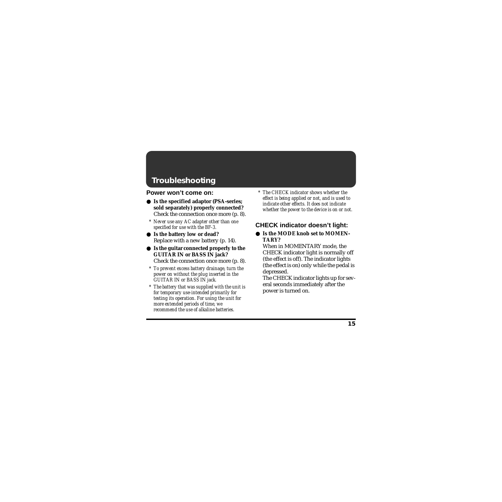# **Troubleshooting**

### **Power won't come on:**

- **Is the specified adaptor (PSA-series; sold separately) properly connected?** Check the connection once more (p. [8\)](#page-7-0).
	- *\* Never use any AC adapter other than one specified for use with the BF-3.*
- **Is the battery low or dead?** Replace with a new battery (p. [14](#page-13-1)).
- **Is the guitar connected properly to the GUITAR IN or BASS IN jack?** Check the connection once more (p. [8\)](#page-7-0).
	- *\* To prevent excess battery drainage, turn the power on without the plug inserted in the GUITAR IN or BASS IN jack.*
	- *\* The battery that was supplied with the unit is for temporary use-intended primarily for testing its operation. For using the unit for more extended periods of time, we recommend the use of alkaline batteries.*

*\* The CHECK indicator shows whether the effect is being applied or not, and is used to indicate other effects. It does not indicate whether the power to the device is on or not.*

## **CHECK indicator doesn't light:**

**Is the MODE knob set to MOMEN-TARY?**

When in MOMENTARY mode, the CHECK indicator light is normally off (the effect is off). The indicator lights (the effect is on) only while the pedal is depressed.

The CHECK indicator lights up for several seconds immediately after the power is turned on.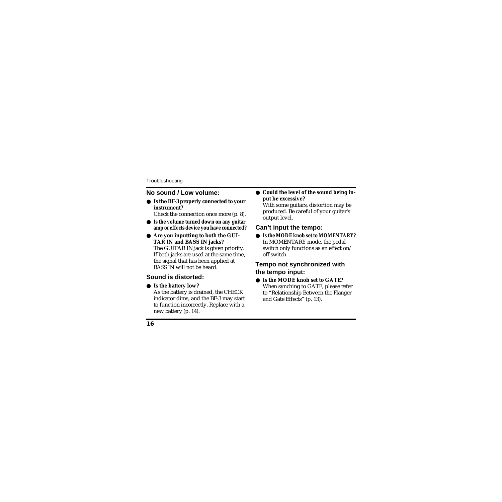### **No sound / Low volume:**

- **Is the BF-3 properly connected to your instrument?** Check the connection once more (p. [8\)](#page-7-0).
- **Is the volume turned down on any guitar amp or effects device you have connected?**
- **Are you inputting to both the GUI-TAR IN and BASS IN jacks?** The GUITAR IN jack is given priority. If both jacks are used at the same time, the signal that has been applied at BASS IN will not be heard.

## **Sound is distorted:**

### ● **Is the battery low?**

As the battery is drained, the CHECK indicator dims, and the BF-3 may start to function incorrectly. Replace with a new battery (p. [14](#page-13-1)).

● **Could the level of the sound being input be excessive?**

With some guitars, distortion may be produced. Be careful of your guitar's output level.

### **Can't input the tempo:**

**Is the MODE knob set to MOMENTARY?** In MOMENTARY mode, the pedal switch only functions as an effect on/ off switch.

### **Tempo not synchronized with the tempo input:**

**Is the MODE knob set to GATE?** When synching to GATE, please refer to "Relationship Between the Flanger and Gate Effects" (p. [13\)](#page-12-0).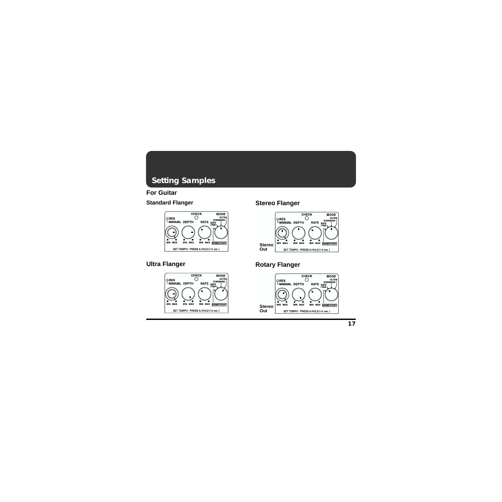# **Setting Samples**

### **For Guitar**

#### **Standard Flanger**



### **Stereo Flanger**



### **Ultra Flanger**



### **Rotary Flanger**

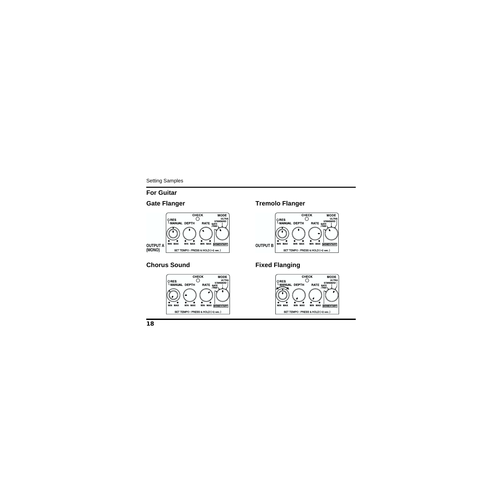#### Setting Samples

#### **For Guitar**

### **Gate Flanger**



#### **Tremolo Flanger**



#### **Chorus Sound**



## **Fixed Flanging**

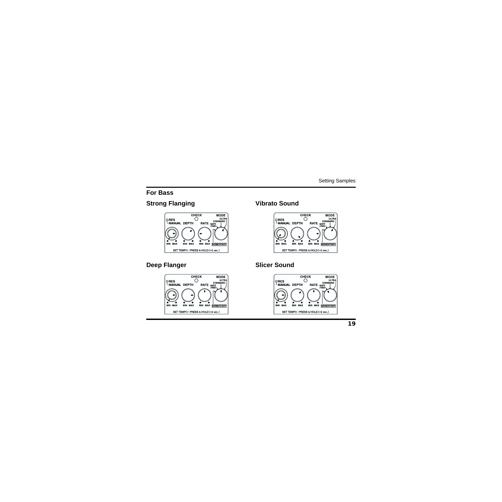#### **For Bass**

### **Strong Flanging**



#### **Vibrato Sound**



#### **Deep Flanger**



### **Slicer Sound**

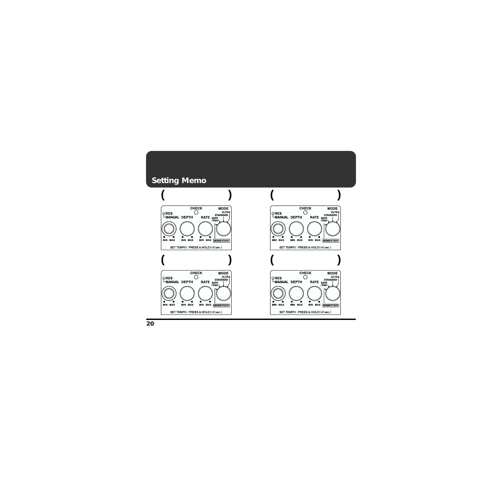## **Setting Memo**



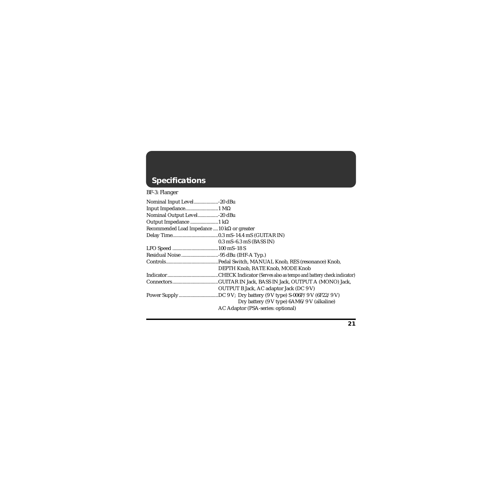# **Specifications**

### BF-3: Flanger

| Nominal Output Level20 dBu                          |                                            |
|-----------------------------------------------------|--------------------------------------------|
|                                                     |                                            |
| Recommended Load Impedance  10 $k\Omega$ or greater |                                            |
|                                                     |                                            |
|                                                     | $0.3$ mS-6.3 mS (BASS IN)                  |
|                                                     |                                            |
|                                                     |                                            |
|                                                     |                                            |
|                                                     | DEPTH Knob, RATE Knob, MODE Knob           |
|                                                     |                                            |
|                                                     |                                            |
|                                                     | OUTPUT B Jack, AC adaptor Jack (DC 9 V)    |
|                                                     |                                            |
|                                                     | Dry battery (9 V type) 6AM6/9 V (alkaline) |
|                                                     | AC Adaptor (PSA-series: optional)          |
|                                                     |                                            |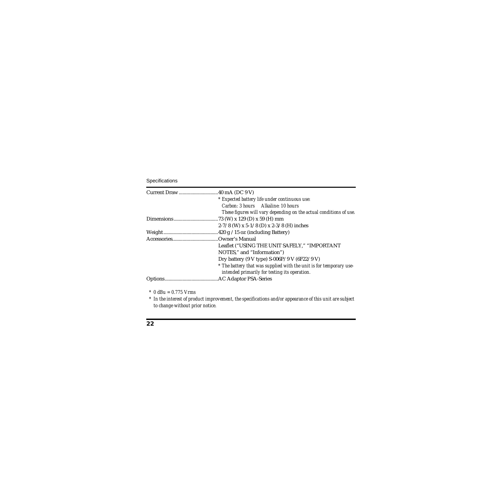| * Expected battery life under continuous use:                       |
|---------------------------------------------------------------------|
| Carbon: 3 hours Alkaline: 10 hours                                  |
| These figures will vary depending on the actual conditions of use.  |
|                                                                     |
| 2-7/8 (W) x 5-1/8 (D) x 2-3/8 (H) inches                            |
|                                                                     |
|                                                                     |
| Leaflet ("USING THE UNIT SAFELY," "IMPORTANT                        |
| NOTES," and "Information")                                          |
| Dry battery (9 V type) S-006P/9 V (6F22/9 V)                        |
| * The battery that was supplied with the unit is for temporary use- |
| intended primarily for testing its operation.                       |
|                                                                     |

*\* 0 dBu = 0.775 Vrms*

*\* In the interest of product improvement, the specifications and/or appearance of this unit are subject to change without prior notice.*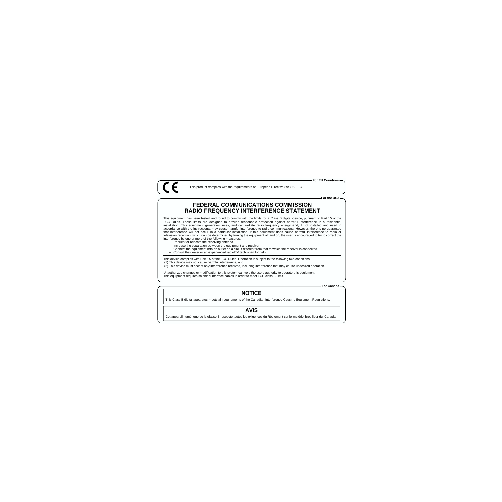This product complies with the requirements of European Directive 89/336/EEC.

**For the USA**

#### **FEDERAL COMMUNICATIONS COMMISSION RADIO FREQUENCY INTERFERENCE STATEMENT**

This equipment has been tested and found to comply with the limits for a Class B digital device, pursuant to Part 15 of the FCC Rules. These limits are designed to provide reasonable protection against harmful interference in a residential installation. This equipment generates, uses, and can radiate radio frequency energy and, if not installed and used in accordance with the instructions, may cause harmful interference to radio communications. However, there is no guarantee that interference will not occur in a particular installation. If this equipment does cause harmful interference to radio or television reception, which can be determined by turning the equipment off and on, the user is encouraged to try to correct the interference by one or more of the following measures:

– Reorient or relocate the receiving antenna.

 $\epsilon$ 

- Increase the separation between the equipment and receiver.
- $\sim$  Connect the equipment into an outlet on a circuit different from that to which the receiver is connected.
- Consult the dealer or an experienced radio/TV technician for help.

This device complies with Part 15 of the FCC Rules. Operation is subject to the following two conditions:

(1) This device may not cause harmful interference, and

(2) This device must accept any interference received, including interference that may cause undesired operation.

Unauthorized changes or modification to this system can void the users authority to operate this equipment. This equipment requires shielded interface cables in order to meet FCC class B Limit.

**For Canada**

#### **NOTICE**

This Class B digital apparatus meets all requirements of the Canadian Interference-Causing Equipment Regulations.

#### **AVIS**

Cet appareil numérique de la classe B respecte toutes les exigences du Règlement sur le matériel brouilleur du Canada.